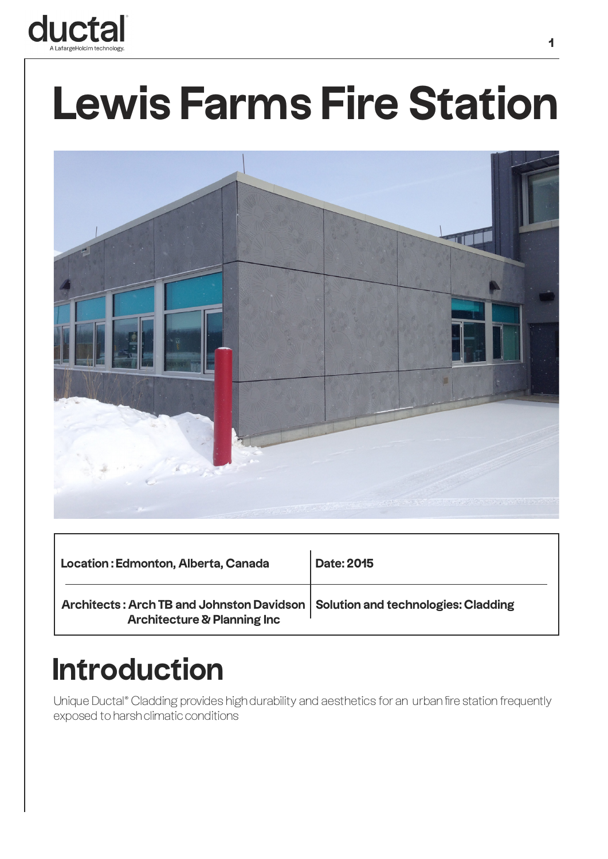

# **Lewis Farms Fire Station**



| Location: Edmonton, Alberta, Canada                                                                                       | <b>Date: 2015</b> |
|---------------------------------------------------------------------------------------------------------------------------|-------------------|
| Architects: Arch TB and Johnston Davidson   Solution and technologies: Cladding<br><b>Architecture &amp; Planning Inc</b> |                   |

#### **Introduction**

Unique Ductal® Cladding provides high durability and aesthetics for an urban fire station frequently exposed to harsh climatic conditions